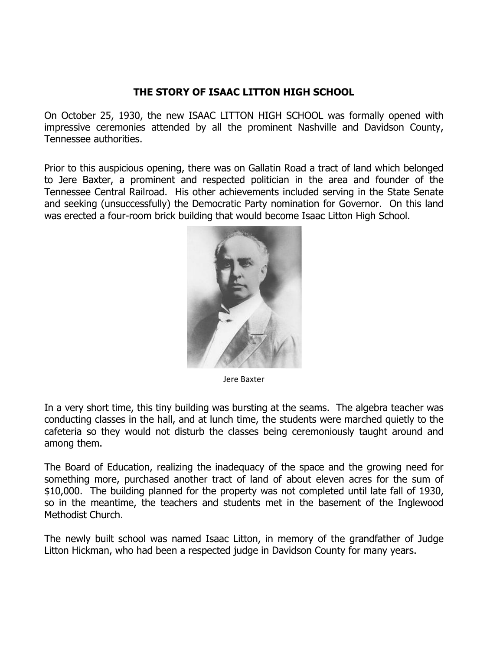## **THE STORY OF ISAAC LITTON HIGH SCHOOL**

On October 25, 1930, the new ISAAC LITTON HIGH SCHOOL was formally opened with impressive ceremonies attended by all the prominent Nashville and Davidson County, Tennessee authorities.

Prior to this auspicious opening, there was on Gallatin Road a tract of land which belonged to Jere Baxter, a prominent and respected politician in the area and founder of the Tennessee Central Railroad. His other achievements included serving in the State Senate and seeking (unsuccessfully) the Democratic Party nomination for Governor. On this land was erected a four-room brick building that would become Isaac Litton High School.



Jere Baxter

In a very short time, this tiny building was bursting at the seams. The algebra teacher was conducting classes in the hall, and at lunch time, the students were marched quietly to the cafeteria so they would not disturb the classes being ceremoniously taught around and among them.

The Board of Education, realizing the inadequacy of the space and the growing need for something more, purchased another tract of land of about eleven acres for the sum of \$10,000. The building planned for the property was not completed until late fall of 1930, so in the meantime, the teachers and students met in the basement of the Inglewood Methodist Church.

The newly built school was named Isaac Litton, in memory of the grandfather of Judge Litton Hickman, who had been a respected judge in Davidson County for many years.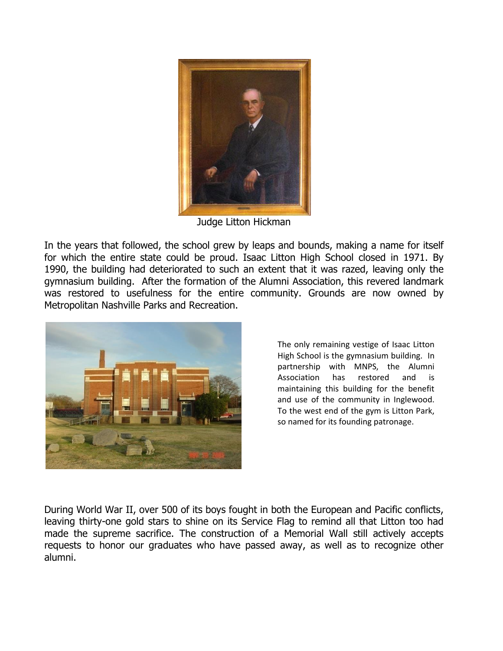

Judge Litton Hickman

In the years that followed, the school grew by leaps and bounds, making a name for itself for which the entire state could be proud. Isaac Litton High School closed in 1971. By 1990, the building had deteriorated to such an extent that it was razed, leaving only the gymnasium building. After the formation of the Alumni Association, this revered landmark was restored to usefulness for the entire community. Grounds are now owned by Metropolitan Nashville Parks and Recreation.



The only remaining vestige of Isaac Litton High School is the gymnasium building. In partnership with MNPS, the Alumni Association has restored and is maintaining this building for the benefit and use of the community in Inglewood. To the west end of the gym is Litton Park, so named for its founding patronage.

During World War II, over 500 of its boys fought in both the European and Pacific conflicts, leaving thirty-one gold stars to shine on its Service Flag to remind all that Litton too had made the supreme sacrifice. The construction of a Memorial Wall still actively accepts requests to honor our graduates who have passed away, as well as to recognize other alumni.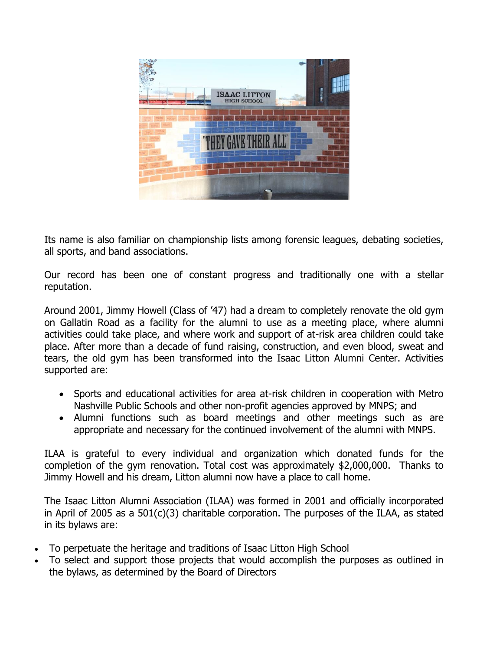

Its name is also familiar on championship lists among forensic leagues, debating societies, all sports, and band associations.

Our record has been one of constant progress and traditionally one with a stellar reputation.

Around 2001, Jimmy Howell (Class of '47) had a dream to completely renovate the old gym on Gallatin Road as a facility for the alumni to use as a meeting place, where alumni activities could take place, and where work and support of at-risk area children could take place. After more than a decade of fund raising, construction, and even blood, sweat and tears, the old gym has been transformed into the Isaac Litton Alumni Center. Activities supported are:

- Sports and educational activities for area at-risk children in cooperation with Metro Nashville Public Schools and other non-profit agencies approved by MNPS; and
- Alumni functions such as board meetings and other meetings such as are appropriate and necessary for the continued involvement of the alumni with MNPS.

ILAA is grateful to every individual and organization which donated funds for the completion of the gym renovation. Total cost was approximately \$2,000,000. Thanks to Jimmy Howell and his dream, Litton alumni now have a place to call home.

The Isaac Litton Alumni Association (ILAA) was formed in 2001 and officially incorporated in April of 2005 as a 501(c)(3) charitable corporation. The purposes of the ILAA, as stated in its bylaws are:

- To perpetuate the heritage and traditions of Isaac Litton High School
- To select and support those projects that would accomplish the purposes as outlined in the bylaws, as determined by the Board of Directors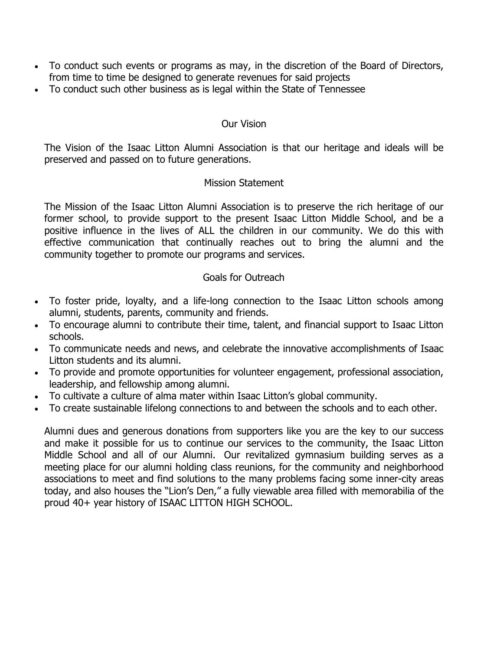- To conduct such events or programs as may, in the discretion of the Board of Directors, from time to time be designed to generate revenues for said projects
- To conduct such other business as is legal within the State of Tennessee

#### Our Vision

The Vision of the Isaac Litton Alumni Association is that our heritage and ideals will be preserved and passed on to future generations.

#### Mission Statement

The Mission of the Isaac Litton Alumni Association is to preserve the rich heritage of our former school, to provide support to the present Isaac Litton Middle School, and be a positive influence in the lives of ALL the children in our community. We do this with effective communication that continually reaches out to bring the alumni and the community together to promote our programs and services.

### Goals for Outreach

- To foster pride, loyalty, and a life-long connection to the Isaac Litton schools among alumni, students, parents, community and friends.
- To encourage alumni to contribute their time, talent, and financial support to Isaac Litton schools.
- To communicate needs and news, and celebrate the innovative accomplishments of Isaac Litton students and its alumni.
- To provide and promote opportunities for volunteer engagement, professional association, leadership, and fellowship among alumni.
- To cultivate a culture of alma mater within Isaac Litton's global community.
- To create sustainable lifelong connections to and between the schools and to each other.

Alumni dues and generous donations from supporters like you are the key to our success and make it possible for us to continue our services to the community, the Isaac Litton Middle School and all of our Alumni. Our revitalized gymnasium building serves as a meeting place for our alumni holding class reunions, for the community and neighborhood associations to meet and find solutions to the many problems facing some inner-city areas today, and also houses the "Lion's Den," a fully viewable area filled with memorabilia of the proud 40+ year history of ISAAC LITTON HIGH SCHOOL.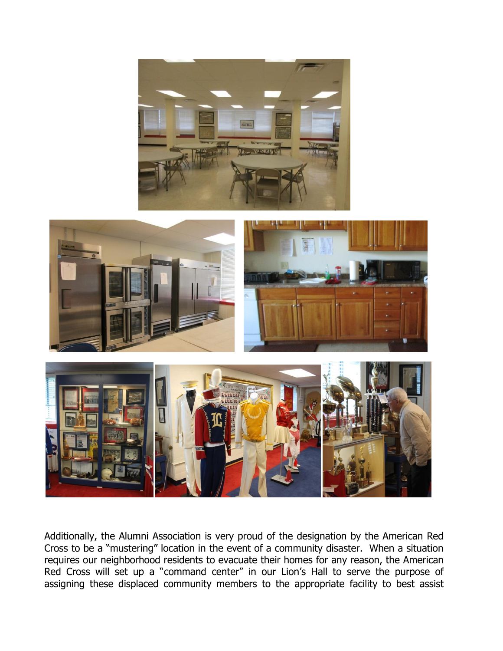



Additionally, the Alumni Association is very proud of the designation by the American Red Cross to be a "mustering" location in the event of a community disaster. When a situation requires our neighborhood residents to evacuate their homes for any reason, the American Red Cross will set up a "command center" in our Lion's Hall to serve the purpose of assigning these displaced community members to the appropriate facility to best assist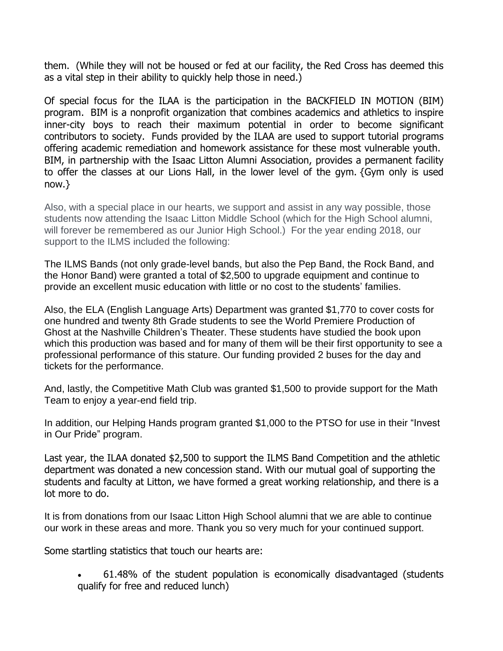them. (While they will not be housed or fed at our facility, the Red Cross has deemed this as a vital step in their ability to quickly help those in need.)

Of special focus for the ILAA is the participation in the BACKFIELD IN MOTION (BIM) program. BIM is a nonprofit organization that combines academics and athletics to inspire inner-city boys to reach their maximum potential in order to become significant contributors to society. Funds provided by the ILAA are used to support tutorial programs offering academic remediation and homework assistance for these most vulnerable youth. BIM, in partnership with the Isaac Litton Alumni Association, provides a permanent facility to offer the classes at our Lions Hall, in the lower level of the gym. {Gym only is used now.}

Also, with a special place in our hearts, we support and assist in any way possible, those students now attending the Isaac Litton Middle School (which for the High School alumni, will forever be remembered as our Junior High School.) For the year ending 2018, our support to the ILMS included the following:

The ILMS Bands (not only grade-level bands, but also the Pep Band, the Rock Band, and the Honor Band) were granted a total of \$2,500 to upgrade equipment and continue to provide an excellent music education with little or no cost to the students' families.

Also, the ELA (English Language Arts) Department was granted \$1,770 to cover costs for one hundred and twenty 8th Grade students to see the World Premiere Production of Ghost at the Nashville Children's Theater. These students have studied the book upon which this production was based and for many of them will be their first opportunity to see a professional performance of this stature. Our funding provided 2 buses for the day and tickets for the performance.

And, lastly, the Competitive Math Club was granted \$1,500 to provide support for the Math Team to enjoy a year-end field trip.

In addition, our Helping Hands program granted \$1,000 to the PTSO for use in their "Invest in Our Pride" program.

Last year, the ILAA donated \$2,500 to support the ILMS Band Competition and the athletic department was donated a new concession stand. With our mutual goal of supporting the students and faculty at Litton, we have formed a great working relationship, and there is a lot more to do.

It is from donations from our Isaac Litton High School alumni that we are able to continue our work in these areas and more. Thank you so very much for your continued support.

Some startling statistics that touch our hearts are:

• 61.48% of the student population is economically disadvantaged (students qualify for free and reduced lunch)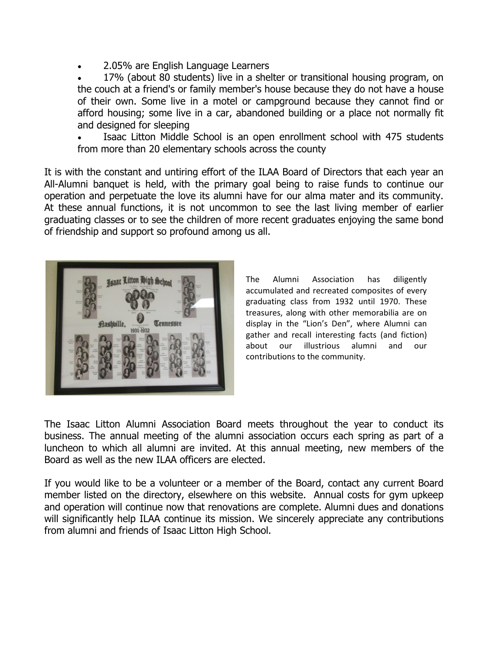• 2.05% are English Language Learners

• 17% (about 80 students) live in a shelter or transitional housing program, on the couch at a friend's or family member's house because they do not have a house of their own. Some live in a motel or campground because they cannot find or afford housing; some live in a car, abandoned building or a place not normally fit and designed for sleeping

Isaac Litton Middle School is an open enrollment school with 475 students from more than 20 elementary schools across the county

It is with the constant and untiring effort of the ILAA Board of Directors that each year an All-Alumni banquet is held, with the primary goal being to raise funds to continue our operation and perpetuate the love its alumni have for our alma mater and its community. At these annual functions, it is not uncommon to see the last living member of earlier graduating classes or to see the children of more recent graduates enjoying the same bond of friendship and support so profound among us all.



The Alumni Association has diligently accumulated and recreated composites of every graduating class from 1932 until 1970. These treasures, along with other memorabilia are on display in the "Lion's Den", where Alumni can gather and recall interesting facts (and fiction) about our illustrious alumni and our contributions to the community.

The Isaac Litton Alumni Association Board meets throughout the year to conduct its business. The annual meeting of the alumni association occurs each spring as part of a luncheon to which all alumni are invited. At this annual meeting, new members of the Board as well as the new ILAA officers are elected.

If you would like to be a volunteer or a member of the Board, contact any current Board member listed on the directory, elsewhere on this website. Annual costs for gym upkeep and operation will continue now that renovations are complete. Alumni dues and donations will significantly help ILAA continue its mission. We sincerely appreciate any contributions from alumni and friends of Isaac Litton High School.